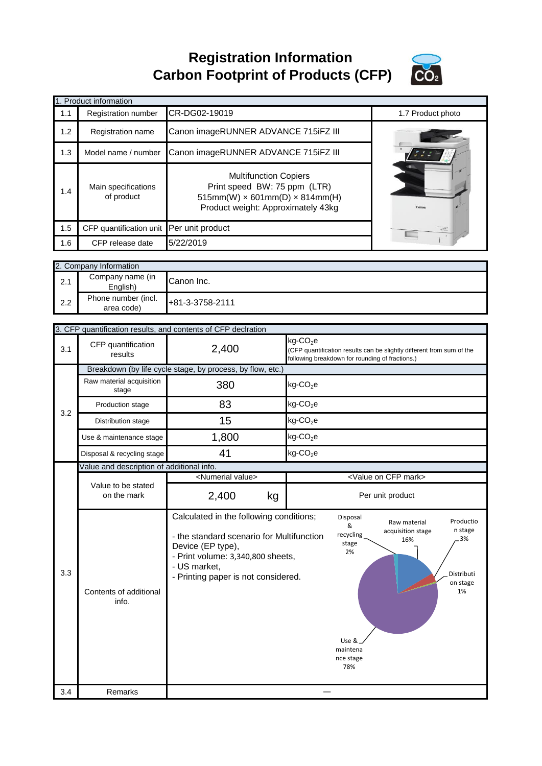**Registration Information Carbon Footprint of Products (CFP)**



|                                           | <b>Product information</b>                                 |                                                                                                                                                                                                       |                                                                                                                                                     |  |  |
|-------------------------------------------|------------------------------------------------------------|-------------------------------------------------------------------------------------------------------------------------------------------------------------------------------------------------------|-----------------------------------------------------------------------------------------------------------------------------------------------------|--|--|
| 1.1                                       | Registration number                                        | CR-DG02-19019                                                                                                                                                                                         | 1.7 Product photo                                                                                                                                   |  |  |
| 1.2                                       | Registration name                                          |                                                                                                                                                                                                       | Canon imageRUNNER ADVANCE 715iFZ III                                                                                                                |  |  |
| 1.3                                       | Model name / number                                        | Canon imageRUNNER ADVANCE 715iFZ III                                                                                                                                                                  |                                                                                                                                                     |  |  |
| 1.4                                       | Main specifications<br>of product                          | <b>Multifunction Copiers</b><br>Print speed BW: 75 ppm (LTR)<br>$515mm(W) \times 601mm(D) \times 814mm(H)$<br>Product weight: Approximately 43kg                                                      |                                                                                                                                                     |  |  |
| 1.5                                       | CFP quantification unit                                    | Per unit product                                                                                                                                                                                      |                                                                                                                                                     |  |  |
| 1.6                                       | CFP release date                                           | 5/22/2019                                                                                                                                                                                             |                                                                                                                                                     |  |  |
|                                           |                                                            |                                                                                                                                                                                                       |                                                                                                                                                     |  |  |
|                                           | 2. Company Information                                     |                                                                                                                                                                                                       |                                                                                                                                                     |  |  |
| 2.1                                       | Company name (in<br>English)                               | Canon Inc.                                                                                                                                                                                            |                                                                                                                                                     |  |  |
| 2.2                                       | Phone number (incl.<br>area code)                          | +81-3-3758-2111                                                                                                                                                                                       |                                                                                                                                                     |  |  |
|                                           |                                                            |                                                                                                                                                                                                       |                                                                                                                                                     |  |  |
|                                           |                                                            | 3. CFP quantification results, and contents of CFP declration                                                                                                                                         |                                                                                                                                                     |  |  |
| 3.1                                       | CFP quantification<br>results                              | 2,400                                                                                                                                                                                                 | $kg$ -CO <sub>2</sub> e<br>(CFP quantification results can be slightly different from sum of the<br>following breakdown for rounding of fractions.) |  |  |
|                                           | Breakdown (by life cycle stage, by process, by flow, etc.) |                                                                                                                                                                                                       |                                                                                                                                                     |  |  |
| 3.2                                       | Raw material acquisition<br>stage                          | 380                                                                                                                                                                                                   | $kg$ -CO <sub>2</sub> e                                                                                                                             |  |  |
|                                           | Production stage                                           | 83                                                                                                                                                                                                    | $kg$ -CO <sub>2</sub> e                                                                                                                             |  |  |
|                                           | Distribution stage                                         | 15                                                                                                                                                                                                    | $kg$ -CO <sub>2</sub> e                                                                                                                             |  |  |
|                                           | Use & maintenance stage                                    | 1,800                                                                                                                                                                                                 | $kg$ -CO <sub>2</sub> e                                                                                                                             |  |  |
|                                           | Disposal & recycling stage                                 | 41                                                                                                                                                                                                    | kg-CO <sub>2</sub> e                                                                                                                                |  |  |
| Value and description of additional info. |                                                            |                                                                                                                                                                                                       |                                                                                                                                                     |  |  |
|                                           |                                                            | <numerial value=""></numerial>                                                                                                                                                                        | <value cfp="" mark="" on=""></value>                                                                                                                |  |  |
|                                           | Value to be stated<br>on the mark                          | 2,400<br>kg                                                                                                                                                                                           | Per unit product                                                                                                                                    |  |  |
| 3.3                                       | Contents of additional<br>info.                            | Calculated in the following conditions;<br>- the standard scenario for Multifunction<br>Device (EP type),<br>- Print volume: 3,340,800 sheets,<br>- US market,<br>- Printing paper is not considered. | Disposal<br>Productio<br>Raw material<br>&<br>n stage<br>acquisition stage<br>recycling<br>3%<br>16%<br>stage<br>2%<br>Distributi<br>on stage<br>1% |  |  |

―

maintena nce stage 78%

3.4 Remarks